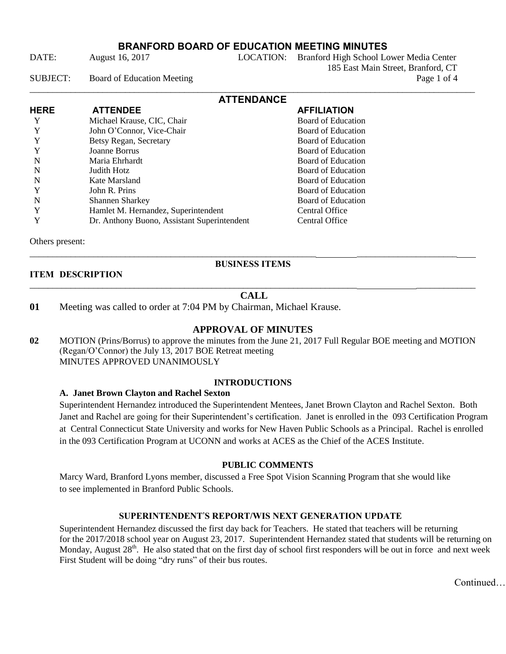DATE: August 16, 2017 LOCATION: Branford High School Lower Media Center 185 East Main Street, Branford, CT

SUBJECT: Board of Education Meeting Page 1 of 4

| <b>ATTENDANCE</b> |                                             |                           |  |  |
|-------------------|---------------------------------------------|---------------------------|--|--|
| <b>HERE</b>       | <b>ATTENDEE</b>                             | <b>AFFILIATION</b>        |  |  |
|                   | Michael Krause, CIC, Chair                  | <b>Board of Education</b> |  |  |
|                   | John O'Connor, Vice-Chair                   | <b>Board of Education</b> |  |  |
| Y                 | Betsy Regan, Secretary                      | Board of Education        |  |  |
|                   | Joanne Borrus                               | Board of Education        |  |  |
| N                 | Maria Ehrhardt                              | Board of Education        |  |  |
| N                 | Judith Hotz                                 | Board of Education        |  |  |
| N                 | Kate Marsland                               | Board of Education        |  |  |
|                   | John R. Prins                               | Board of Education        |  |  |
| N                 | <b>Shannen Sharkey</b>                      | Board of Education        |  |  |
|                   | Hamlet M. Hernandez, Superintendent         | Central Office            |  |  |
|                   | Dr. Anthony Buono, Assistant Superintendent | Central Office            |  |  |

Others present:

# **ITEM DESCRIPTION**

## \_\_\_\_\_\_\_\_\_\_\_\_\_\_\_\_\_\_\_\_\_\_\_\_\_\_\_\_\_\_\_\_\_\_\_\_\_\_\_\_\_\_\_\_\_\_\_\_\_\_\_\_\_\_\_\_\_\_\_\_\_\_\_\_\_\_\_\_\_\_\_\_ \_\_\_\_\_\_\_\_\_\_\_\_\_

\_\_\_\_\_\_\_\_\_\_\_\_\_\_\_\_\_\_\_\_\_\_\_\_\_\_\_\_\_\_\_\_\_\_\_\_\_\_\_\_\_\_\_\_\_\_\_\_\_\_\_\_\_\_\_\_\_\_\_\_\_\_\_ \_\_\_\_\_\_\_\_\_\_\_\_\_\_\_\_\_\_\_\_\_\_ **BUSINESS ITEMS**

## **CALL**

**01** Meeting was called to order at 7:04 PM by Chairman, Michael Krause.

## **APPROVAL OF MINUTES**

**02** MOTION (Prins/Borrus) to approve the minutes from the June 21, 2017 Full Regular BOE meeting and MOTION (Regan/O'Connor) the July 13, 2017 BOE Retreat meeting MINUTES APPROVED UNANIMOUSLY

## **INTRODUCTIONS**

## **A. Janet Brown Clayton and Rachel Sexton**

Superintendent Hernandez introduced the Superintendent Mentees, Janet Brown Clayton and Rachel Sexton. Both Janet and Rachel are going for their Superintendent's certification. Janet is enrolled in the 093 Certification Program at Central Connecticut State University and works for New Haven Public Schools as a Principal. Rachel is enrolled in the 093 Certification Program at UCONN and works at ACES as the Chief of the ACES Institute.

## **PUBLIC COMMENTS**

Marcy Ward, Branford Lyons member, discussed a Free Spot Vision Scanning Program that she would like to see implemented in Branford Public Schools.

#### **SUPERINTENDENT**'**S REPORT/WIS NEXT GENERATION UPDATE**

Superintendent Hernandez discussed the first day back for Teachers. He stated that teachers will be returning for the 2017/2018 school year on August 23, 2017. Superintendent Hernandez stated that students will be returning on Monday, August  $28<sup>th</sup>$ . He also stated that on the first day of school first responders will be out in force and next week First Student will be doing "dry runs" of their bus routes.

Continued…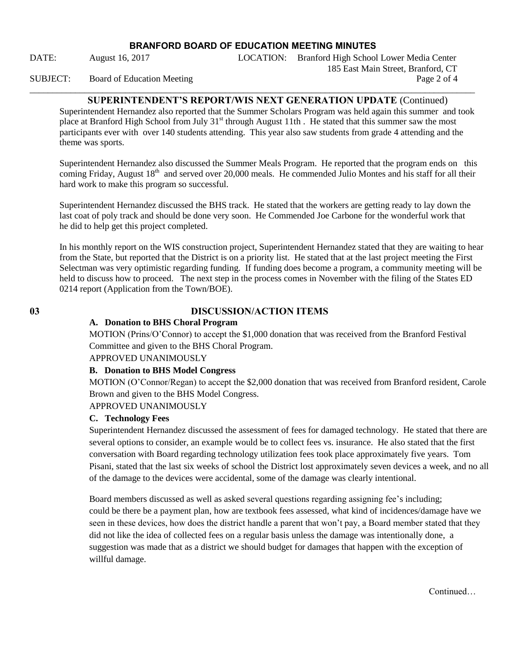\_\_\_\_\_\_\_\_\_\_\_\_\_\_\_\_\_\_\_\_\_\_\_\_\_\_\_\_\_\_\_\_\_\_\_\_\_\_\_\_\_\_\_\_\_\_\_\_\_\_\_\_\_\_\_\_\_\_\_\_\_\_\_\_\_\_\_\_\_\_\_\_\_\_\_\_\_\_\_\_\_\_\_\_\_\_\_\_\_\_\_\_\_\_\_\_\_\_

DATE: August 16, 2017 LOCATION: Branford High School Lower Media Center 185 East Main Street, Branford, CT

#### SUBJECT: Board of Education Meeting

## **SUPERINTENDENT'S REPORT/WIS NEXT GENERATION UPDATE** (Continued)

Superintendent Hernandez also reported that the Summer Scholars Program was held again this summer and took place at Branford High School from July 31<sup>st</sup> through August 11th. He stated that this summer saw the most participants ever with over 140 students attending. This year also saw students from grade 4 attending and the theme was sports.

Superintendent Hernandez also discussed the Summer Meals Program. He reported that the program ends on this coming Friday, August 18<sup>th</sup> and served over 20,000 meals. He commended Julio Montes and his staff for all their hard work to make this program so successful.

Superintendent Hernandez discussed the BHS track. He stated that the workers are getting ready to lay down the last coat of poly track and should be done very soon. He Commended Joe Carbone for the wonderful work that he did to help get this project completed.

In his monthly report on the WIS construction project, Superintendent Hernandez stated that they are waiting to hear from the State, but reported that the District is on a priority list. He stated that at the last project meeting the First Selectman was very optimistic regarding funding. If funding does become a program, a community meeting will be held to discuss how to proceed. The next step in the process comes in November with the filing of the States ED 0214 report (Application from the Town/BOE).

## **03 DISCUSSION/ACTION ITEMS**

#### **A. Donation to BHS Choral Program**

MOTION (Prins/O'Connor) to accept the \$1,000 donation that was received from the Branford Festival Committee and given to the BHS Choral Program.

APPROVED UNANIMOUSLY

#### **B. Donation to BHS Model Congress**

MOTION (O'Connor/Regan) to accept the \$2,000 donation that was received from Branford resident, Carole Brown and given to the BHS Model Congress.

## APPROVED UNANIMOUSLY

#### **C. Technology Fees**

Superintendent Hernandez discussed the assessment of fees for damaged technology. He stated that there are several options to consider, an example would be to collect fees vs. insurance. He also stated that the first conversation with Board regarding technology utilization fees took place approximately five years. Tom Pisani, stated that the last six weeks of school the District lost approximately seven devices a week, and no all of the damage to the devices were accidental, some of the damage was clearly intentional.

Board members discussed as well as asked several questions regarding assigning fee's including; could be there be a payment plan, how are textbook fees assessed, what kind of incidences/damage have we seen in these devices, how does the district handle a parent that won't pay, a Board member stated that they did not like the idea of collected fees on a regular basis unless the damage was intentionally done, a suggestion was made that as a district we should budget for damages that happen with the exception of willful damage.

Continued…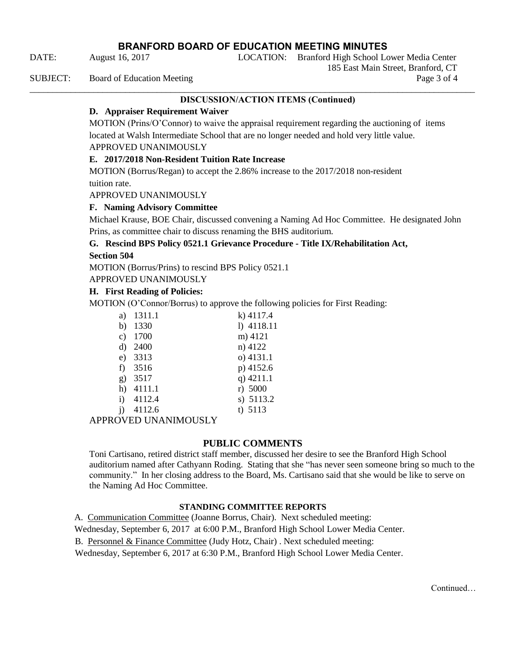DATE: August 16, 2017 LOCATION: Branford High School Lower Media Center

\_\_\_\_\_\_\_\_\_\_\_\_\_\_\_\_\_\_\_\_\_\_\_\_\_\_\_\_\_\_\_\_\_\_\_\_\_\_\_\_\_\_\_\_\_\_\_\_\_\_\_\_\_\_\_\_\_\_\_\_\_\_\_\_\_\_\_\_\_\_\_\_\_\_\_\_\_\_\_\_\_\_\_\_\_\_\_\_\_\_\_\_\_\_\_\_\_\_

SUBJECT: Board of Education Meeting Page 3 of 4

#### **DISCUSSION/ACTION ITEMS (Continued)**

185 East Main Street, Branford, CT

## **D. Appraiser Requirement Waiver**

MOTION (Prins/O'Connor) to waive the appraisal requirement regarding the auctioning of items located at Walsh Intermediate School that are no longer needed and hold very little value. APPROVED UNANIMOUSLY

#### **E. 2017/2018 Non-Resident Tuition Rate Increase**

MOTION (Borrus/Regan) to accept the 2.86% increase to the 2017/2018 non-resident tuition rate.

APPROVED UNANIMOUSLY

#### **F. Naming Advisory Committee**

Michael Krause, BOE Chair, discussed convening a Naming Ad Hoc Committee. He designated John Prins, as committee chair to discuss renaming the BHS auditorium.

#### **G. Rescind BPS Policy 0521.1 Grievance Procedure - Title IX/Rehabilitation Act, Section 504**

MOTION (Borrus/Prins) to rescind BPS Policy 0521.1

APPROVED UNANIMOUSLY

#### **H. First Reading of Policies:**

MOTION (O'Connor/Borrus) to approve the following policies for First Reading:

| a) | 1311.1 | $k)$ 4117.4  |
|----|--------|--------------|
| b) | 1330   | $1)$ 4118.11 |
| c) | 1700   | m) 4121      |
| d) | 2400   | n) 4122      |
| e) | 3313   | $o)$ 4131.1  |
| f) | 3516   | p) 4152.6    |
| g) | 3517   | q) $4211.1$  |
| h) | 4111.1 | r) 5000      |
| i) | 4112.4 | s) 5113.2    |
|    | 4112.6 | t) $5113$    |
|    |        |              |

APPROVED UNANIMOUSLY

## **PUBLIC COMMENTS**

Toni Cartisano, retired district staff member, discussed her desire to see the Branford High School auditorium named after Cathyann Roding. Stating that she "has never seen someone bring so much to the community." In her closing address to the Board, Ms. Cartisano said that she would be like to serve on the Naming Ad Hoc Committee.

#### **STANDING COMMITTEE REPORTS**

A. Communication Committee (Joanne Borrus, Chair). Next scheduled meeting:

Wednesday, September 6, 2017 at 6:00 P.M., Branford High School Lower Media Center.

B. Personnel & Finance Committee (Judy Hotz, Chair) . Next scheduled meeting:

Wednesday, September 6, 2017 at 6:30 P.M., Branford High School Lower Media Center.

**Continued**